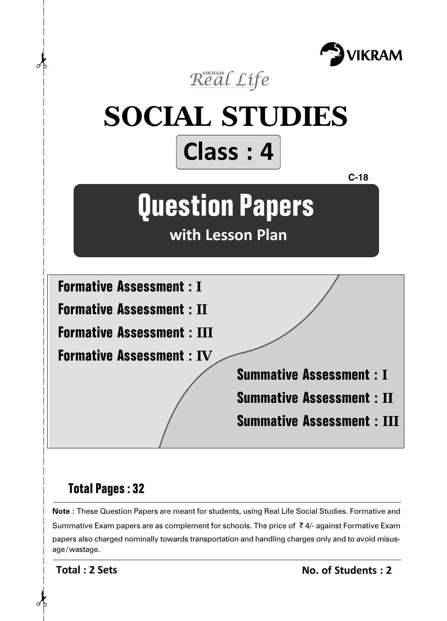



## **Total Pages : 32**

**Note :** These Question Papers are meant for students, using Real Life Social Studies. Formative and Summative Exam papers are as complement for schools. The price of  $\bar{\tau}$  4/- against Formative Exam papers also charged nominally towards transportation and handling charges only and to avoid misusage/wastage.

**Total : 2 Sets**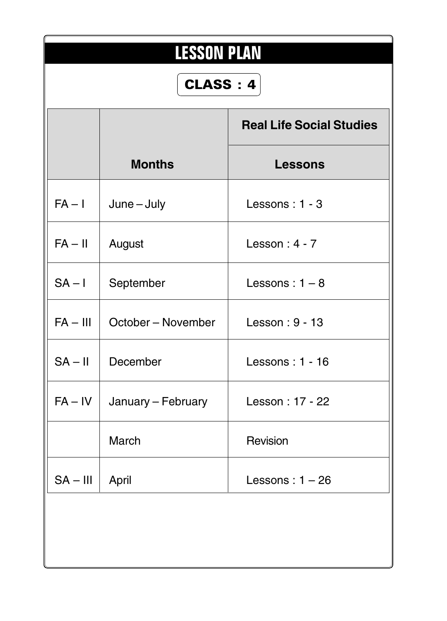| <b>LESSON PLAN</b><br><b>CLASS: 4</b> |                                 |                                 |  |  |  |  |  |
|---------------------------------------|---------------------------------|---------------------------------|--|--|--|--|--|
|                                       |                                 | <b>Real Life Social Studies</b> |  |  |  |  |  |
|                                       | <b>Months</b>                   | <b>Lessons</b>                  |  |  |  |  |  |
| $FA - I$                              | $June - July$                   | Lessons: 1 - 3                  |  |  |  |  |  |
| $FA - II$                             | August                          | Lesson: $4 - 7$                 |  |  |  |  |  |
| $SA - I$                              | September                       | Lessons: $1 - 8$                |  |  |  |  |  |
|                                       | $FA - III$   October – November | Lesson: 9 - 13                  |  |  |  |  |  |
| $SA - II$                             | December                        | Lessons: 1 - 16                 |  |  |  |  |  |
|                                       | $FA - IV$   January – February  | Lesson: 17 - 22                 |  |  |  |  |  |
|                                       | March                           | Revision                        |  |  |  |  |  |
| $SA - III$                            | April                           | Lessons: $1 - 26$               |  |  |  |  |  |
|                                       |                                 |                                 |  |  |  |  |  |
|                                       |                                 |                                 |  |  |  |  |  |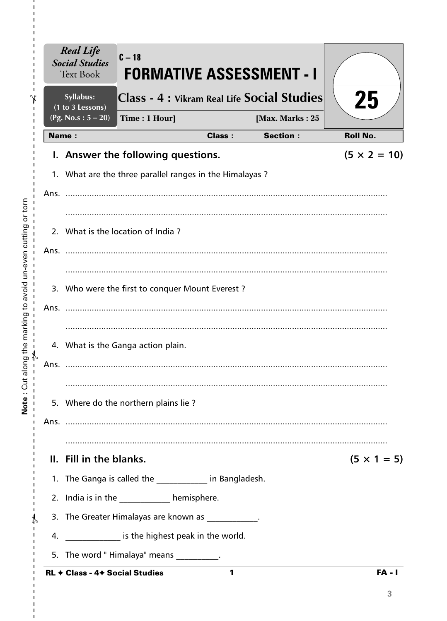| <b>Real Life</b><br><b>Social Studies</b><br><b>Text Book</b> | $C-18$<br><b>FORMATIVE ASSESSMENT - I</b>               |               |                                    |                     |
|---------------------------------------------------------------|---------------------------------------------------------|---------------|------------------------------------|---------------------|
| Syllabus:<br>(1 to 3 Lessons)                                 | Class - 4 : Vikram Real Life Social Studies             |               |                                    | 25                  |
| (Pg. No.s: $5 - 20$ )<br><b>Name:</b>                         | Time: 1 Hour]                                           | <b>Class:</b> | [Max. Marks: 25<br><b>Section:</b> | <b>Roll No.</b>     |
|                                                               | I. Answer the following questions.                      |               |                                    | $(5 \times 2 = 10)$ |
|                                                               |                                                         |               |                                    |                     |
|                                                               | 1. What are the three parallel ranges in the Himalayas? |               |                                    |                     |
| Ans.                                                          |                                                         |               |                                    |                     |
|                                                               |                                                         |               |                                    |                     |
|                                                               | 2. What is the location of India?                       |               |                                    |                     |
| Ans.                                                          |                                                         |               |                                    |                     |
|                                                               |                                                         |               |                                    |                     |
|                                                               | 3. Who were the first to conquer Mount Everest?         |               |                                    |                     |
| Ans.                                                          |                                                         |               |                                    |                     |
|                                                               |                                                         |               |                                    |                     |
|                                                               | 4. What is the Ganga action plain.                      |               |                                    |                     |
| Ans.                                                          |                                                         |               |                                    |                     |
|                                                               |                                                         |               |                                    |                     |
|                                                               | 5. Where do the northern plains lie?                    |               |                                    |                     |
|                                                               |                                                         |               |                                    |                     |
|                                                               |                                                         |               |                                    |                     |
| II. Fill in the blanks.                                       |                                                         |               |                                    | $(5 \times 1 = 5)$  |
|                                                               | 1. The Ganga is called the ____________ in Bangladesh.  |               |                                    |                     |
|                                                               | 2. India is in the _____________ hemisphere.            |               |                                    |                     |
|                                                               | 3. The Greater Himalayas are known as ___________.      |               |                                    |                     |
|                                                               | 4. _______________ is the highest peak in the world.    |               |                                    |                     |
|                                                               | 5. The word "Himalaya" means __________.                |               |                                    |                     |
| RL + Class - 4+ Social Studies                                |                                                         | 1             |                                    | $FA - I$            |

Note: Cut along the marking to avoid un-even cutting or torn

 $\frac{1}{1}$  $\frac{1}{1}$ 

 $\mathbf I$  $\mathbf I$  $\frac{1}{1}$ 

 $\frac{1}{1}$   $\frac{1}{1}$   $\frac{1}{1}$   $\frac{1}{1}$ 

 $\bar{\mathbf{I}}$  $\bar{\mathbf{I}}$  $\bar{\mathbf{I}}$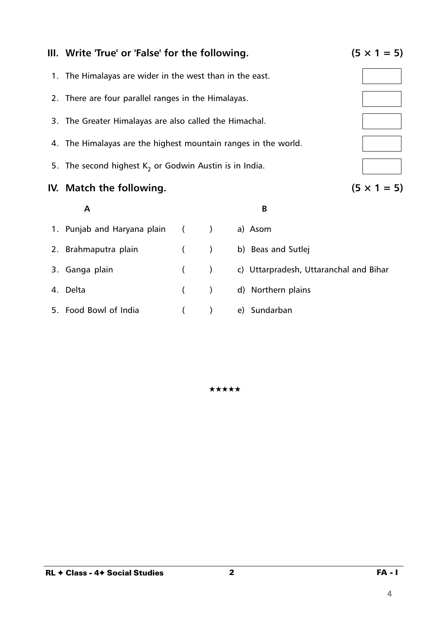

**III.** Write 'True' or 'False' for the following.  $(5 \times 1 = 5)$ 

5. Food Bowl of India ( ) e) Sundarban

★★★★★

**4**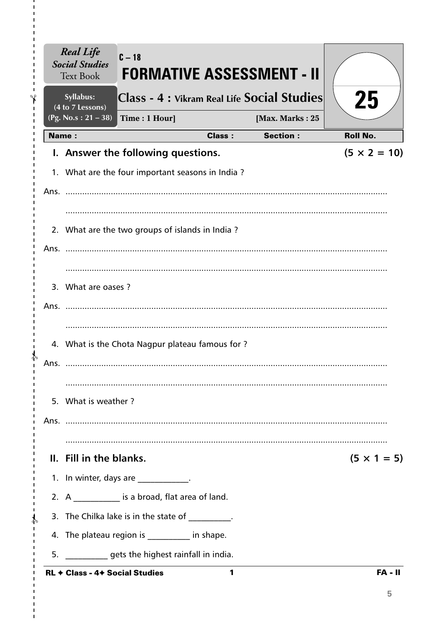| <b>Real Life</b><br><b>Social Studies</b><br><b>Text Book</b> | $C - 18$<br><b>FORMATIVE ASSESSMENT - II</b>                                                   |               |                 |                     |
|---------------------------------------------------------------|------------------------------------------------------------------------------------------------|---------------|-----------------|---------------------|
| Syllabus:<br>(4 to 7 Lessons)                                 | Class - 4 : Vikram Real Life Social Studies                                                    |               |                 | 25                  |
| (Pg. No.s: $21 - 38$ )                                        | Time: 1 Hour]                                                                                  |               | [Max. Marks: 25 |                     |
| <b>Name:</b>                                                  |                                                                                                | <b>Class:</b> | <b>Section:</b> | <b>Roll No.</b>     |
|                                                               | I. Answer the following questions.                                                             |               |                 | $(5 \times 2 = 10)$ |
|                                                               | 1. What are the four important seasons in India?                                               |               |                 |                     |
|                                                               |                                                                                                |               |                 |                     |
|                                                               |                                                                                                |               |                 |                     |
|                                                               | 2. What are the two groups of islands in India?                                                |               |                 |                     |
|                                                               |                                                                                                |               |                 |                     |
|                                                               |                                                                                                |               |                 |                     |
| 3. What are oases?                                            |                                                                                                |               |                 |                     |
| Ans. .                                                        |                                                                                                |               |                 |                     |
|                                                               |                                                                                                |               |                 |                     |
|                                                               | 4. What is the Chota Nagpur plateau famous for?                                                |               |                 |                     |
| Ans.                                                          |                                                                                                |               |                 |                     |
|                                                               |                                                                                                |               |                 |                     |
| 5. What is weather?                                           |                                                                                                |               |                 |                     |
|                                                               |                                                                                                |               |                 |                     |
|                                                               |                                                                                                |               |                 |                     |
|                                                               | II. Fill in the blanks.                                                                        |               |                 | $(5 \times 1 = 5)$  |
|                                                               | 1. In winter, days are ___________.                                                            |               |                 |                     |
|                                                               | 2. A _____________ is a broad, flat area of land.                                              |               |                 |                     |
|                                                               |                                                                                                |               |                 |                     |
|                                                               | 3. The Chilka lake is in the state of Fig.                                                     |               |                 |                     |
|                                                               | 4. The plateau region is _________ in shape.                                                   |               |                 |                     |
|                                                               | 5. ______________ gets the highest rainfall in india.<br><b>RL + Class - 4+ Social Studies</b> | 1             |                 | $FA - II$           |

I,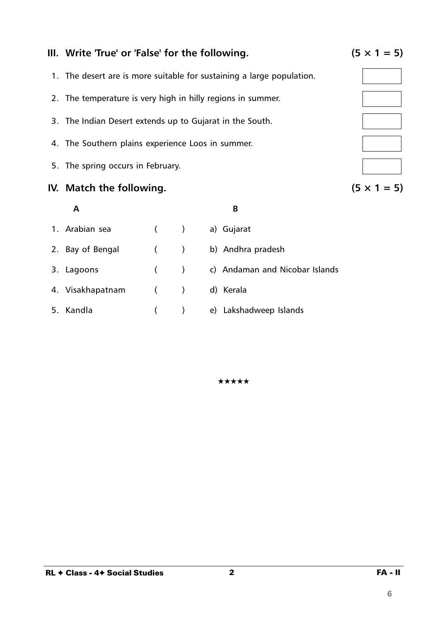## **III.** Write 'True' or 'False' for the following.  $(5 \times 1 = 5)$

- 1. The desert are is more suitable for sustaining a large population.
- 2. The temperature is very high in hilly regions in summer.
- 3. The Indian Desert extends up to Gujarat in the South.
- 4. The Southern plains experience Loos in summer.
- 5. The spring occurs in February.

### **IV.** Match the following.  $(5 \times 1 = 5)$

| Α                |            |                          | B                              |
|------------------|------------|--------------------------|--------------------------------|
| 1. Arabian sea   | $($ )      |                          | a) Gujarat                     |
| 2. Bay of Bengal | (          |                          | b) Andhra pradesh              |
| 3. Lagoons       | $\sqrt{2}$ | $\overline{\phantom{a}}$ | c) Andaman and Nicobar Islands |
| 4. Visakhapatnam | $($ $)$    |                          | d) Kerala                      |
| 5. Kandla        |            |                          | e) Lakshadweep Islands         |

★★★★★

**6**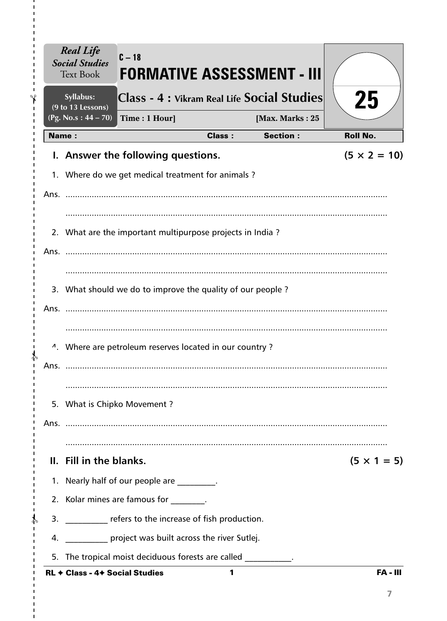|      | <b>Real Life</b><br><b>Social Studies</b><br><b>Text Book</b> | $C-18$                                                               |               | FORMATIVE ASSESSMENT - III |                     |
|------|---------------------------------------------------------------|----------------------------------------------------------------------|---------------|----------------------------|---------------------|
|      | Syllabus:<br>(9 to 13 Lessons)                                | Class - 4 : Vikram Real Life Social Studies                          |               |                            | 25                  |
|      | (Pg. No.s: $44 - 70$ )                                        | Time: 1 Hour]                                                        |               | [Max. Marks: 25            |                     |
|      | <b>Name:</b>                                                  |                                                                      | <b>Class:</b> | <b>Section:</b>            | <b>Roll No.</b>     |
|      |                                                               | I. Answer the following questions.                                   |               |                            | $(5 \times 2 = 10)$ |
|      |                                                               | 1. Where do we get medical treatment for animals?                    |               |                            |                     |
|      |                                                               |                                                                      |               |                            |                     |
|      |                                                               | 2. What are the important multipurpose projects in India?            |               |                            |                     |
|      |                                                               | 3. What should we do to improve the quality of our people?           |               |                            |                     |
|      |                                                               | <sup>4</sup> . Where are petroleum reserves located in our country ? |               |                            |                     |
| Ans. |                                                               |                                                                      |               |                            |                     |
|      |                                                               | 5. What is Chipko Movement?                                          |               |                            |                     |
|      |                                                               |                                                                      |               |                            |                     |
|      | II. Fill in the blanks.                                       |                                                                      |               |                            | $(5 \times 1 = 5)$  |
|      |                                                               | 1. Nearly half of our people are ________.                           |               |                            |                     |
|      |                                                               | 2. Kolar mines are famous for the same set                           |               |                            |                     |
|      |                                                               | 3. The refers to the increase of fish production.                    |               |                            |                     |
|      |                                                               | 4. project was built across the river Sutlej.                        |               |                            |                     |
|      |                                                               | 5. The tropical moist deciduous forests are called __________.       |               |                            |                     |
|      | <b>RL ← Class - 4← Social Studies</b>                         |                                                                      | 1             |                            | <b>FA - III</b>     |

I,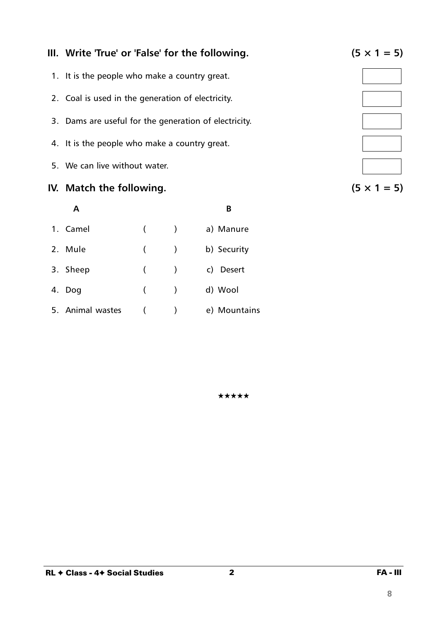

2 FA - III

## **III.** Write 'True' or 'False' for the following.  $(5 \times 1 = 5)$

- 1. It is the people who make a country great.
- 2. Coal is used in the generation of electricity.
- 3. Dams are useful for the generation of electricity.
- 4. It is the people who make a country great.
- 5. We can live without water.

### **IV.** Match the following.

|                  |            |                          | R            |
|------------------|------------|--------------------------|--------------|
| 1. Camel         | $\sqrt{2}$ | $\overline{\phantom{a}}$ | a) Manure    |
| 2. Mule          | (          |                          | b) Security  |
| 3. Sheep         | (          | $\rightarrow$            | c) Desert    |
| 4. Dog           | (          | $\rightarrow$            | d) Wool      |
| 5. Animal wastes |            |                          | e) Mountains |

$$
(5 \times 1 = 5)
$$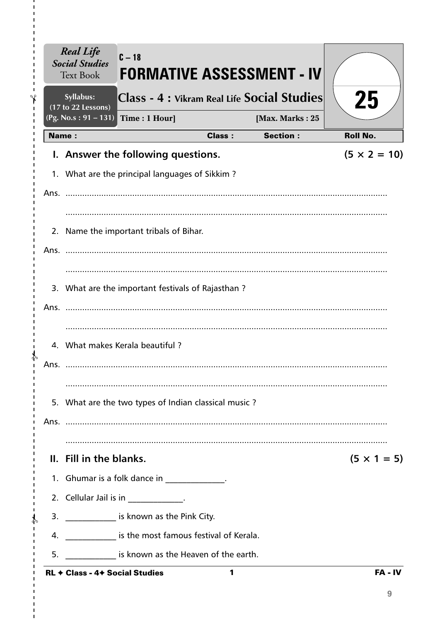|              | <b>Social Studies</b><br><b>Text Book</b><br>Syllabus: |                                                          |               | <b>FORMATIVE ASSESSMENT - IV</b><br>Class - 4 : Vikram Real Life Social Studies | 25                  |
|--------------|--------------------------------------------------------|----------------------------------------------------------|---------------|---------------------------------------------------------------------------------|---------------------|
|              | (17 to 22 Lessons)<br>$(Pg. No.s: 91 - 131)$           | Time: 1 Hour]                                            |               | [Max. Marks: 25                                                                 |                     |
| <b>Name:</b> |                                                        |                                                          | <b>Class:</b> | <b>Section:</b>                                                                 | <b>Roll No.</b>     |
|              |                                                        | I. Answer the following questions.                       |               |                                                                                 | $(5 \times 2 = 10)$ |
|              |                                                        | 1. What are the principal languages of Sikkim?           |               |                                                                                 |                     |
|              |                                                        |                                                          |               |                                                                                 |                     |
|              |                                                        |                                                          |               |                                                                                 |                     |
|              |                                                        | 2. Name the important tribals of Bihar.                  |               |                                                                                 |                     |
|              |                                                        |                                                          |               |                                                                                 |                     |
|              |                                                        |                                                          |               |                                                                                 |                     |
|              |                                                        | 3. What are the important festivals of Rajasthan?        |               |                                                                                 |                     |
|              |                                                        |                                                          |               |                                                                                 |                     |
|              |                                                        | 4. What makes Kerala beautiful?                          |               |                                                                                 |                     |
| Ans.         |                                                        |                                                          |               |                                                                                 |                     |
|              |                                                        |                                                          |               |                                                                                 |                     |
|              |                                                        | 5. What are the two types of Indian classical music?     |               |                                                                                 |                     |
|              |                                                        |                                                          |               |                                                                                 |                     |
|              | II. Fill in the blanks.                                |                                                          |               |                                                                                 | $(5 \times 1 = 5)$  |
|              |                                                        | 1. Ghumar is a folk dance in ______________.             |               |                                                                                 |                     |
|              |                                                        | 2. Cellular Jail is in _____________.                    |               |                                                                                 |                     |
|              |                                                        | 3. ______________ is known as the Pink City.             |               |                                                                                 |                     |
|              |                                                        | 4. ______________ is the most famous festival of Kerala. |               |                                                                                 |                     |
| 5.           |                                                        | is known as the Heaven of the earth.                     |               |                                                                                 |                     |
|              | <b>RL + Class - 4+ Social Studies</b>                  |                                                          | 1             |                                                                                 | $FA - IV$           |

 $\mathbf I$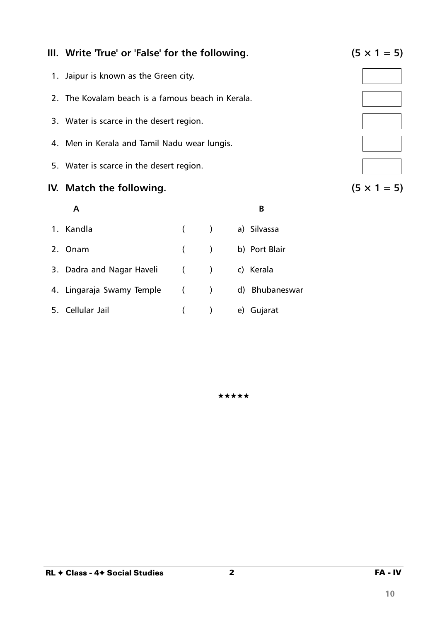### **III.** Write 'True' or 'False' for the following.  $(5 \times 1 = 5)$

- 1. Jaipur is known as the Green city.
- 2. The Kovalam beach is a famous beach in Kerala.
- 3. Water is scarce in the desert region.
- 4. Men in Kerala and Tamil Nadu wear lungis.
- 5. Water is scarce in the desert region.

#### **IV.** Match the following.  $(5 \times 1 = 5)$

# **A B** 1. Kandla ( ) a) Silvassa 2. Onam ( ) b) Port Blair 3. Dadra and Nagar Haveli ( ) c) Kerala 4. Lingaraja Swamy Temple ( ) d) Bhubaneswar 5. Cellular Jail ( ) e) Gujarat

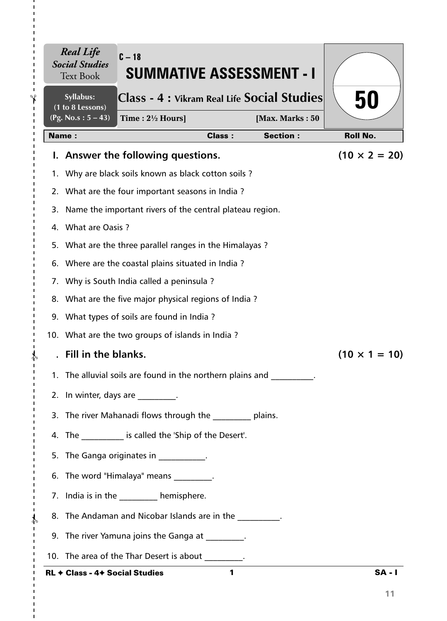|    | <b>Real Life</b><br><b>Social Studies</b><br><b>Text Book</b> | $C - 18$<br><b>SUMMATIVE ASSESSMENT - I</b>                |               |                 |                      |
|----|---------------------------------------------------------------|------------------------------------------------------------|---------------|-----------------|----------------------|
|    | Syllabus:<br>(1 to 8 Lessons)                                 | Class - 4 : Vikram Real Life Social Studies                |               |                 | 50                   |
|    | (Pg. No.s: $5 - 43$ )                                         | Time: $2\frac{1}{2}$ Hours]                                |               | [Max. Marks: 50 |                      |
|    | <b>Name:</b>                                                  |                                                            | <b>Class:</b> | <b>Section:</b> | <b>Roll No.</b>      |
|    |                                                               | I. Answer the following questions.                         |               |                 | $(10 \times 2 = 20)$ |
|    |                                                               | 1. Why are black soils known as black cotton soils?        |               |                 |                      |
|    |                                                               | 2. What are the four important seasons in India?           |               |                 |                      |
| 3. |                                                               | Name the important rivers of the central plateau region.   |               |                 |                      |
|    | 4. What are Oasis ?                                           |                                                            |               |                 |                      |
|    |                                                               | 5. What are the three parallel ranges in the Himalayas?    |               |                 |                      |
|    |                                                               | 6. Where are the coastal plains situated in India?         |               |                 |                      |
|    |                                                               | 7. Why is South India called a peninsula?                  |               |                 |                      |
|    |                                                               | 8. What are the five major physical regions of India?      |               |                 |                      |
|    |                                                               | 9. What types of soils are found in India?                 |               |                 |                      |
|    |                                                               | 10. What are the two groups of islands in India?           |               |                 |                      |
|    | Fill in the blanks.                                           |                                                            |               |                 | $(10 \times 1 = 10)$ |
|    |                                                               | 1. The alluvial soils are found in the northern plains and |               |                 |                      |
|    |                                                               | 2. In winter, days are fig.                                |               |                 |                      |
|    |                                                               | 3. The river Mahanadi flows through the _________ plains.  |               |                 |                      |
|    |                                                               | 4. The ___________ is called the 'Ship of the Desert'.     |               |                 |                      |
|    |                                                               | 5. The Ganga originates in ___________.                    |               |                 |                      |
|    |                                                               | 6. The word "Himalaya" means                               |               |                 |                      |
|    |                                                               | 7. India is in the _________ hemisphere.                   |               |                 |                      |
|    |                                                               | 8. The Andaman and Nicobar Islands are in the              |               |                 |                      |
|    |                                                               | 9. The river Yamuna joins the Ganga at 1997.               |               |                 |                      |
|    |                                                               | 10. The area of the Thar Desert is about ________.         |               |                 |                      |
|    | <b>RL + Class - 4+ Social Studies</b>                         |                                                            | 1             |                 | $SA - I$             |

 $\blacksquare$  $\mathbf I$  $\blacksquare$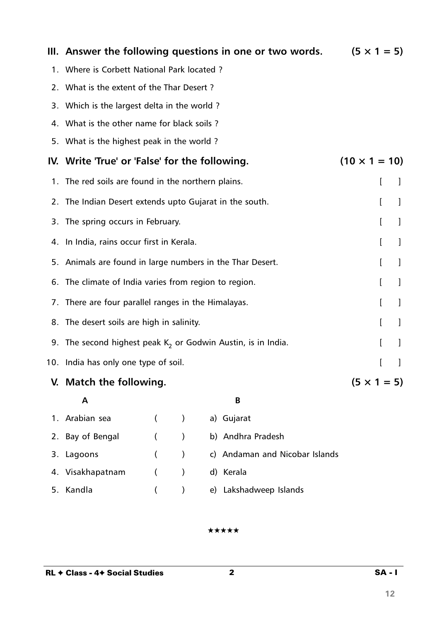|    |                                                                 |                |               | III. Answer the following questions in one or two words. | $(5 \times 1 = 5)$   |   |   |
|----|-----------------------------------------------------------------|----------------|---------------|----------------------------------------------------------|----------------------|---|---|
|    | 1. Where is Corbett National Park located?                      |                |               |                                                          |                      |   |   |
|    | 2. What is the extent of the Thar Desert?                       |                |               |                                                          |                      |   |   |
|    | 3. Which is the largest delta in the world?                     |                |               |                                                          |                      |   |   |
|    | 4. What is the other name for black soils?                      |                |               |                                                          |                      |   |   |
|    | 5. What is the highest peak in the world?                       |                |               |                                                          |                      |   |   |
|    | IV. Write 'True' or 'False' for the following.                  |                |               |                                                          | $(10 \times 1 = 10)$ |   |   |
|    | 1. The red soils are found in the northern plains.              |                |               |                                                          |                      | I | J |
|    | 2. The Indian Desert extends upto Gujarat in the south.         |                |               |                                                          |                      | L | 1 |
| 3. | The spring occurs in February.                                  |                |               |                                                          |                      | L |   |
|    | 4. In India, rains occur first in Kerala.                       |                |               |                                                          |                      | L | I |
|    | 5. Animals are found in large numbers in the Thar Desert.       |                |               |                                                          |                      | L | 1 |
|    | 6. The climate of India varies from region to region.           |                |               |                                                          |                      | I | 1 |
|    | 7. There are four parallel ranges in the Himalayas.             |                |               |                                                          |                      | I | 1 |
|    | 8. The desert soils are high in salinity.                       |                |               |                                                          |                      | L | 1 |
|    | 9. The second highest peak $K_2$ or Godwin Austin, is in India. |                |               |                                                          |                      | I |   |
|    | 10. India has only one type of soil.                            |                |               |                                                          |                      | ſ | J |
|    | V. Match the following.                                         |                |               |                                                          | $(5 \times 1 = 5)$   |   |   |
|    | Α                                                               |                |               | B                                                        |                      |   |   |
| 1. | Arabian sea                                                     | $\left($       | $\lambda$     | a) Gujarat                                               |                      |   |   |
| 2. | Bay of Bengal                                                   | $\left($       | $\mathcal{E}$ | b) Andhra Pradesh                                        |                      |   |   |
| 3. | Lagoons                                                         | $\overline{ }$ | $\mathcal{E}$ | c) Andaman and Nicobar Islands                           |                      |   |   |
| 4. | Visakhapatnam                                                   | $\overline{ }$ | $\mathcal{E}$ | d) Kerala                                                |                      |   |   |
| 5. | Kandla                                                          |                |               | e) Lakshadweep Islands                                   |                      |   |   |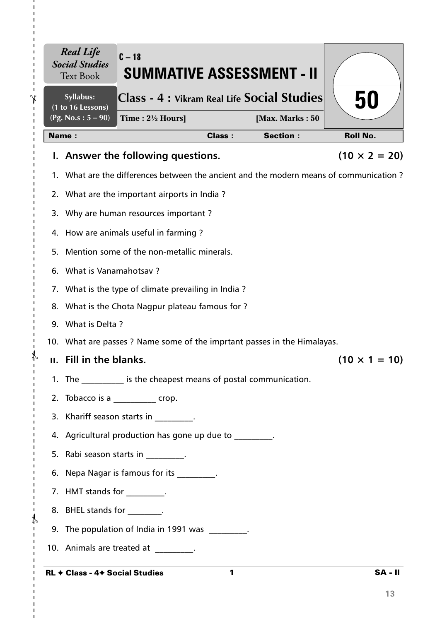|       | <b>Real Life</b><br><b>Social Studies</b><br><b>Text Book</b> | $C-18$<br><b>SUMMATIVE ASSESSMENT - II</b>                                             |               |                 |                      |
|-------|---------------------------------------------------------------|----------------------------------------------------------------------------------------|---------------|-----------------|----------------------|
|       | Syllabus:<br>(1 to 16 Lessons)                                | Class - 4 : Vikram Real Life Social Studies                                            |               |                 | 50                   |
|       | (Pg. No.s: $5 - 90$ )                                         | Time: $2\frac{1}{2}$ Hours]                                                            |               | [Max. Marks: 50 |                      |
| Name: |                                                               |                                                                                        | <b>Class:</b> | <b>Section:</b> | <b>Roll No.</b>      |
|       |                                                               | I. Answer the following questions.                                                     |               |                 | $(10 \times 2 = 20)$ |
|       |                                                               | 1. What are the differences between the ancient and the modern means of communication? |               |                 |                      |
|       |                                                               | 2. What are the important airports in India?                                           |               |                 |                      |
|       |                                                               | 3. Why are human resources important?                                                  |               |                 |                      |
|       |                                                               | 4. How are animals useful in farming?                                                  |               |                 |                      |
| 5.    |                                                               | Mention some of the non-metallic minerals.                                             |               |                 |                      |
|       | 6. What is Vanamahotsav?                                      |                                                                                        |               |                 |                      |
|       |                                                               | 7. What is the type of climate prevailing in India?                                    |               |                 |                      |
|       |                                                               | 8. What is the Chota Nagpur plateau famous for?                                        |               |                 |                      |
|       | 9. What is Delta?                                             |                                                                                        |               |                 |                      |
|       |                                                               | 10. What are passes ? Name some of the imprtant passes in the Himalayas.               |               |                 |                      |
|       | II. Fill in the blanks.                                       |                                                                                        |               |                 | $(10 \times 1 = 10)$ |
|       | 1. The                                                        | is the cheapest means of postal communication.                                         |               |                 |                      |
|       |                                                               | 2. Tobacco is a ____________ crop.                                                     |               |                 |                      |
|       |                                                               | 3. Khariff season starts in Fig. 2.                                                    |               |                 |                      |
|       |                                                               | 4. Agricultural production has gone up due to _________.                               |               |                 |                      |
|       |                                                               | 5. Rabi season starts in _________.                                                    |               |                 |                      |
|       |                                                               | 6. Nepa Nagar is famous for its _________.                                             |               |                 |                      |
|       | 7. HMT stands for _________.                                  |                                                                                        |               |                 |                      |
|       | 8. BHEL stands for _________.                                 |                                                                                        |               |                 |                      |
|       |                                                               | 9. The population of India in 1991 was ________.                                       |               |                 |                      |
|       |                                                               | 10. Animals are treated at ________.                                                   |               |                 |                      |
|       |                                                               | RL ← Class - 4← Social Studies                                                         | $\mathbf{1}$  |                 | <b>SA-II</b>         |

 $- - \frac{1}{2}$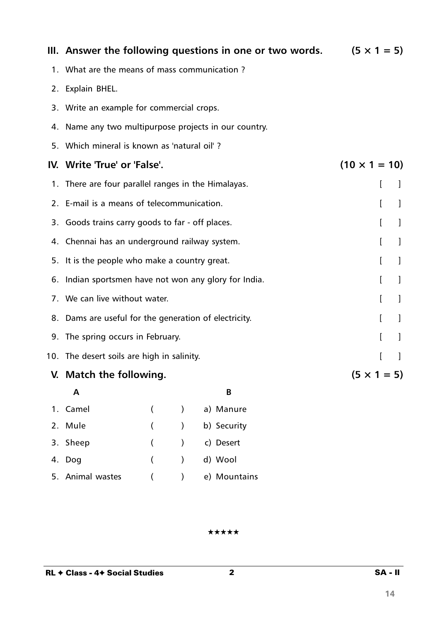|    | III. Answer the following questions in one or two words. |               |             | $(5 \times 1 = 5)$   |              |              |
|----|----------------------------------------------------------|---------------|-------------|----------------------|--------------|--------------|
|    | 1. What are the means of mass communication?             |               |             |                      |              |              |
| 2. | Explain BHEL.                                            |               |             |                      |              |              |
|    | 3. Write an example for commercial crops.                |               |             |                      |              |              |
|    | 4. Name any two multipurpose projects in our country.    |               |             |                      |              |              |
|    | 5. Which mineral is known as 'natural oil'?              |               |             |                      |              |              |
|    | IV. Write 'True' or 'False'.                             |               |             | $(10 \times 1 = 10)$ |              |              |
| 1. | There are four parallel ranges in the Himalayas.         |               |             |                      | L            | $\mathbf{I}$ |
| 2. | E-mail is a means of telecommunication.                  |               |             |                      | L            | 1            |
|    | 3. Goods trains carry goods to far - off places.         |               |             |                      | L            | 1            |
|    | 4. Chennai has an underground railway system.            |               |             |                      | L            | 1            |
|    | 5. It is the people who make a country great.            |               |             |                      | I            | 1            |
|    | 6. Indian sportsmen have not won any glory for India.    |               |             |                      | $\mathbf{r}$ | 1            |
|    | 7. We can live without water.                            |               |             |                      | T            | $\perp$      |
|    | 8. Dams are useful for the generation of electricity.    |               |             |                      | L            | $\perp$      |
|    | 9. The spring occurs in February.                        |               |             |                      | ſ            | 1            |
|    | 10. The desert soils are high in salinity.               |               |             |                      | ſ            | $\mathbf{I}$ |
|    | V. Match the following.                                  |               |             | $(5 \times 1 = 5)$   |              |              |
|    | A                                                        |               | В           |                      |              |              |
|    | 1. Camel<br>€                                            | $\lambda$     | a) Manure   |                      |              |              |
|    | 2. Mule<br>$\overline{(}$                                | $\mathcal{E}$ | b) Security |                      |              |              |

★★★★★

3. Sheep ( ) c) Desert

4. Dog ( ) d) Wool

5. Animal wastes ( ) e) Mountains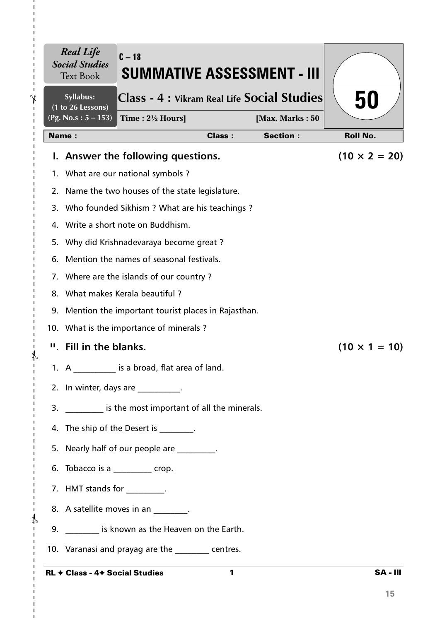|    | Syllabus:<br>(1 to 26 Lessons) | Class - 4 : Vikram Real Life Social Studies                                          |               |                 | 50                   |
|----|--------------------------------|--------------------------------------------------------------------------------------|---------------|-----------------|----------------------|
|    | $(Pg. No.s: 5 - 153)$          | Time: $2\frac{1}{2}$ Hours]                                                          |               | [Max. Marks: 50 |                      |
|    | <b>Name:</b>                   |                                                                                      | <b>Class:</b> | <b>Section:</b> | <b>Roll No.</b>      |
|    |                                | I. Answer the following questions.                                                   |               |                 | $(10 \times 2 = 20)$ |
|    |                                | 1. What are our national symbols?                                                    |               |                 |                      |
|    |                                | 2. Name the two houses of the state legislature.                                     |               |                 |                      |
|    |                                | 3. Who founded Sikhism ? What are his teachings ?                                    |               |                 |                      |
|    |                                | 4. Write a short note on Buddhism.                                                   |               |                 |                      |
|    |                                | 5. Why did Krishnadevaraya become great?<br>Mention the names of seasonal festivals. |               |                 |                      |
| 6. |                                | 7. Where are the islands of our country?                                             |               |                 |                      |
|    |                                | 8. What makes Kerala beautiful?                                                      |               |                 |                      |
|    |                                | 9. Mention the important tourist places in Rajasthan.                                |               |                 |                      |
|    |                                | 10. What is the importance of minerals?                                              |               |                 |                      |
|    | " Fill in the blanks.          |                                                                                      |               |                 | $(10 \times 1 = 10)$ |
|    |                                | 1. A is a broad, flat area of land.                                                  |               |                 |                      |
|    |                                | 2. In winter, days are _________.                                                    |               |                 |                      |
|    |                                | 3. Solution is the most important of all the minerals.                               |               |                 |                      |
|    |                                | 4. The ship of the Desert is [11] .                                                  |               |                 |                      |
|    |                                | 5. Nearly half of our people are ________.                                           |               |                 |                      |
|    |                                | 6. Tobacco is a _________ crop.                                                      |               |                 |                      |
|    | 7. HMT stands for _________.   |                                                                                      |               |                 |                      |
|    |                                | 8. A satellite moves in an 1997.                                                     |               |                 |                      |
|    |                                | 9. Similary 19. Suppose 1.5 known as the Heaven on the Earth.                        |               |                 |                      |
|    |                                | 10. Varanasi and prayag are the same centres.                                        |               |                 |                      |

RL ✦ Class - 4✦ Social Studies

 $\mathbf I$  $\blacksquare$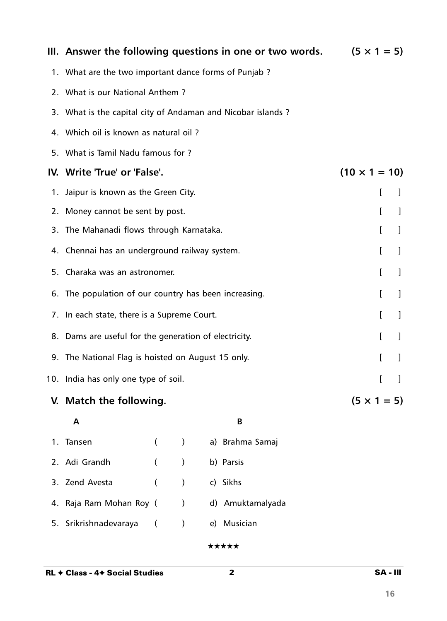|    |                                                             |                |               | III. Answer the following questions in one or two words. | $(5 \times 1 = 5)$   |   |
|----|-------------------------------------------------------------|----------------|---------------|----------------------------------------------------------|----------------------|---|
|    | 1. What are the two important dance forms of Punjab?        |                |               |                                                          |                      |   |
|    | 2. What is our National Anthem?                             |                |               |                                                          |                      |   |
|    | 3. What is the capital city of Andaman and Nicobar islands? |                |               |                                                          |                      |   |
|    | 4. Which oil is known as natural oil?                       |                |               |                                                          |                      |   |
|    | 5. What is Tamil Nadu famous for ?                          |                |               |                                                          |                      |   |
|    | IV. Write 'True' or 'False'.                                |                |               |                                                          | $(10 \times 1 = 10)$ |   |
| 1. | Jaipur is known as the Green City.                          |                |               |                                                          | L                    | J |
|    | 2. Money cannot be sent by post.                            |                |               |                                                          | I                    | 1 |
| 3. | The Mahanadi flows through Karnataka.                       |                |               |                                                          | I                    | 1 |
|    | 4. Chennai has an underground railway system.               |                |               |                                                          | L                    | J |
|    | 5. Charaka was an astronomer.                               |                |               |                                                          | I                    | 1 |
|    | 6. The population of our country has been increasing.       |                |               |                                                          | I                    | 1 |
|    | 7. In each state, there is a Supreme Court.                 |                |               |                                                          | I                    | J |
|    | 8. Dams are useful for the generation of electricity.       |                |               |                                                          | I                    | 1 |
|    | 9. The National Flag is hoisted on August 15 only.          |                |               |                                                          | I                    |   |
|    | 10. India has only one type of soil.                        |                |               |                                                          |                      |   |
|    | V. Match the following.                                     |                |               |                                                          | $(5 \times 1 = 5)$   |   |
|    | A                                                           |                |               | B                                                        |                      |   |
| 1. | Tansen                                                      | $\left($       | $\mathcal{C}$ | a) Brahma Samaj                                          |                      |   |
| 2. | Adi Grandh                                                  | $\left($       | $\mathcal{E}$ | b) Parsis                                                |                      |   |
| 3. | Zend Avesta                                                 | $\overline{(}$ | $\mathcal{C}$ | c) Sikhs                                                 |                      |   |
|    | 4. Raja Ram Mohan Roy (                                     |                | $\mathcal{E}$ | d) Amuktamalyada                                         |                      |   |
|    |                                                             |                |               |                                                          |                      |   |

5. Srikrishnadevaraya ( ) e) Musician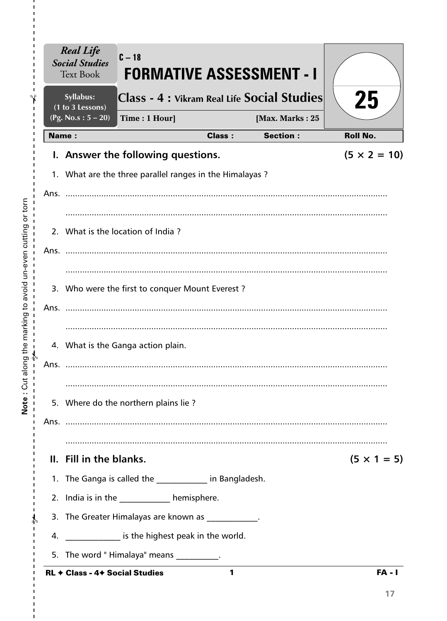|                                 | <b>Real Life</b><br><b>Social Studies</b><br><b>Text Book</b>                                              | $C-18$        |               | <b>FORMATIVE ASSESSMENT - I</b>             |                     |
|---------------------------------|------------------------------------------------------------------------------------------------------------|---------------|---------------|---------------------------------------------|---------------------|
|                                 | Syllabus:<br>(1 to 3 Lessons)                                                                              |               |               | Class - 4 : Vikram Real Life Social Studies | 25                  |
|                                 | (Pg. No.s: $5 - 20$ )                                                                                      | Time: 1 Hour] |               | [Max. Marks: 25                             |                     |
|                                 | <b>Name:</b>                                                                                               |               | <b>Class:</b> | <b>Section:</b>                             | <b>Roll No.</b>     |
|                                 | I. Answer the following questions.                                                                         |               |               |                                             | $(5 \times 2 = 10)$ |
|                                 | 1. What are the three parallel ranges in the Himalayas?                                                    |               |               |                                             |                     |
| Ans.                            |                                                                                                            |               |               |                                             |                     |
|                                 |                                                                                                            |               |               |                                             |                     |
|                                 | 2. What is the location of India?                                                                          |               |               |                                             |                     |
| Ans.                            |                                                                                                            |               |               |                                             |                     |
|                                 | 3. Who were the first to conquer Mount Everest?                                                            |               |               |                                             |                     |
| Ans.                            |                                                                                                            |               |               |                                             |                     |
|                                 |                                                                                                            |               |               |                                             |                     |
|                                 | 4. What is the Ganga action plain.                                                                         |               |               |                                             |                     |
| Ans.                            |                                                                                                            |               |               |                                             |                     |
|                                 |                                                                                                            |               |               |                                             |                     |
|                                 | 5. Where do the northern plains lie?                                                                       |               |               |                                             |                     |
| J.                              |                                                                                                            |               |               |                                             |                     |
|                                 |                                                                                                            |               |               |                                             |                     |
| J.                              | II. Fill in the blanks.                                                                                    |               |               |                                             | $(5 \times 1 = 5)$  |
|                                 | 1. The Ganga is called the ____________ in Bangladesh.                                                     |               |               |                                             |                     |
| $\mathbf{I}$                    | 2. India is in the _____________ hemisphere.                                                               |               |               |                                             |                     |
| $\frac{1}{2}$<br>$\blacksquare$ | 3. The Greater Himalayas are known as ___________.<br>4. _______________ is the highest peak in the world. |               |               |                                             |                     |
|                                 |                                                                                                            |               |               |                                             |                     |
|                                 | 5. The word "Himalaya" means __________.<br>RL + Class - 4+ Social Studies                                 |               | 1             |                                             | $FA - I$            |

Note: Cut along the marking to avoid un-even cutting or torn 

 $\frac{1}{1}$  $\mathbf I$  $\mathbf I$  $\mathbf I$ 

 $\mathbf{I}$  $\mathbf I$  $\mathbf I$  $\frac{1}{1}$ 

 $\frac{1}{1}$  $\bar{\mathbf{I}}$  $\mathbf{I}$  $\mathbf{I}$  $\mathbf{I}$  $\mathbf{I}$  $\mathbf{I}$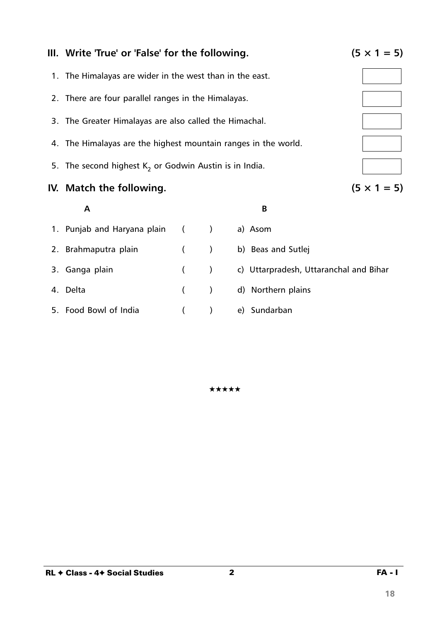

5. Food Bowl of India ( ) e) Sundarban

★★★★★

2 FA - I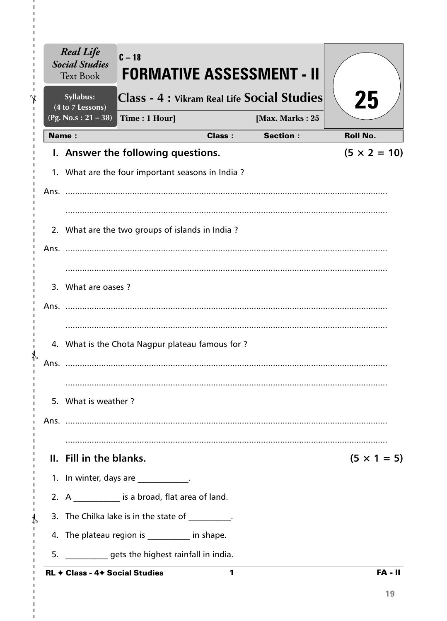|              | <b>Real Life</b><br><b>Social Studies</b><br><b>Text Book</b> | $C - 18$                                              |               | <b>FORMATIVE ASSESSMENT - II</b>            |                     |
|--------------|---------------------------------------------------------------|-------------------------------------------------------|---------------|---------------------------------------------|---------------------|
|              | Syllabus:<br>(4 to 7 Lessons)                                 |                                                       |               | Class - 4 : Vikram Real Life Social Studies | 25                  |
|              | (Pg. No.s: $21 - 38$ )                                        | Time: 1 Hour]                                         |               | [Max. Marks: 25                             |                     |
| <b>Name:</b> |                                                               |                                                       | <b>Class:</b> | <b>Section:</b>                             | <b>Roll No.</b>     |
|              |                                                               | I. Answer the following questions.                    |               |                                             | $(5 \times 2 = 10)$ |
|              |                                                               | 1. What are the four important seasons in India?      |               |                                             |                     |
|              |                                                               |                                                       |               |                                             |                     |
|              |                                                               | 2. What are the two groups of islands in India?       |               |                                             |                     |
|              |                                                               |                                                       |               |                                             |                     |
|              | 3. What are oases?                                            |                                                       |               |                                             |                     |
| Ans.         |                                                               |                                                       |               |                                             |                     |
| Ans.         |                                                               | 4. What is the Chota Nagpur plateau famous for?       |               |                                             |                     |
|              | 5. What is weather?                                           |                                                       |               |                                             |                     |
|              |                                                               |                                                       |               |                                             |                     |
|              | II. Fill in the blanks.                                       |                                                       |               |                                             | $(5 \times 1 = 5)$  |
|              |                                                               | 1. In winter, days are ___________.                   |               |                                             |                     |
|              |                                                               | 2. $A$ _____________ is a broad, flat area of land.   |               |                                             |                     |
|              |                                                               | 3. The Chilka lake is in the state of [100].          |               |                                             |                     |
|              |                                                               | 4. The plateau region is _________ in shape.          |               |                                             |                     |
|              |                                                               | 5. ______________ gets the highest rainfall in india. |               |                                             |                     |
|              | <b>RL + Class - 4+ Social Studies</b>                         |                                                       | 1             |                                             | <b>FA - II</b>      |

Ï  $\mathbf{I}$ f. Ï  $\blacksquare$ п п Ţ  $\blacksquare$  $\mathbf{I}$  $\mathbf I$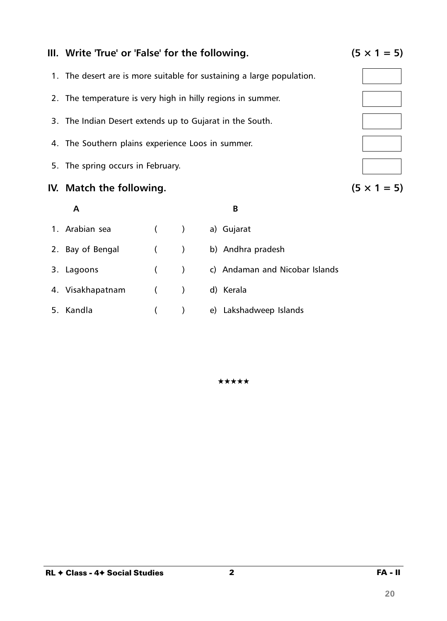### 2 FA - II

## **III.** Write 'True' or 'False' for the following.  $(5 \times 1 = 5)$

- 1. The desert are is more suitable for sustaining a large population.
- 2. The temperature is very high in hilly regions in summer.
- 3. The Indian Desert extends up to Gujarat in the South.
- 4. The Southern plains experience Loos in summer.
- 5. The spring occurs in February.

#### **IV.** Match the following.  $(5 \times 1 = 5)$

| Α                |       | B                              |
|------------------|-------|--------------------------------|
| 1. Arabian sea   | $($ ) | a) Gujarat                     |
| 2. Bay of Bengal | $($ ) | b) Andhra pradesh              |
| 3. Lagoons       | $($ ) | c) Andaman and Nicobar Islands |
| 4. Visakhapatnam | $($ ) | d) Kerala                      |
| 5. Kandla        |       | e) Lakshadweep Islands         |

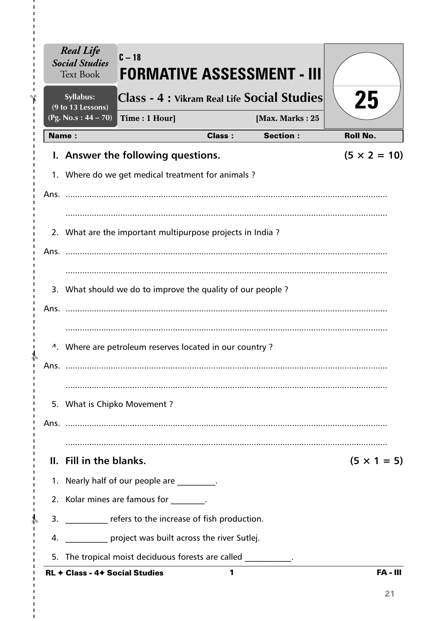|    |      | <b>Real Life</b><br><b>Social Studies</b><br><b>Text Book</b> | $C - 18$<br>FORMATIVE ASSESSMENT - III                               |               |                 |                     |
|----|------|---------------------------------------------------------------|----------------------------------------------------------------------|---------------|-----------------|---------------------|
| ٩ρ |      | Syllabus:                                                     | Class - 4 : Vikram Real Life Social Studies                          |               |                 | 25                  |
|    |      | (9 to 13 Lessons)<br>(Pg. No.s: $44 - 70$ )                   | Time: 1 Hour]                                                        |               | [Max. Marks: 25 |                     |
|    |      | <b>Name:</b>                                                  |                                                                      | <b>Class:</b> | <b>Section:</b> | <b>Roll No.</b>     |
|    |      |                                                               | I. Answer the following questions.                                   |               |                 | $(5 \times 2 = 10)$ |
|    |      |                                                               | 1. Where do we get medical treatment for animals?                    |               |                 |                     |
|    |      |                                                               |                                                                      |               |                 |                     |
|    |      |                                                               |                                                                      |               |                 |                     |
|    |      |                                                               | 2. What are the important multipurpose projects in India?            |               |                 |                     |
|    |      |                                                               |                                                                      |               |                 |                     |
|    |      |                                                               |                                                                      |               |                 |                     |
|    |      |                                                               | 3. What should we do to improve the quality of our people?           |               |                 |                     |
|    |      |                                                               |                                                                      |               |                 |                     |
|    |      |                                                               |                                                                      |               |                 |                     |
|    |      |                                                               | <sup>4</sup> . Where are petroleum reserves located in our country ? |               |                 |                     |
|    | Ans. |                                                               |                                                                      |               |                 |                     |
|    |      |                                                               |                                                                      |               |                 |                     |
|    |      |                                                               | 5. What is Chipko Movement?                                          |               |                 |                     |
|    |      |                                                               |                                                                      |               |                 |                     |
|    |      |                                                               |                                                                      |               |                 |                     |
|    |      | II. Fill in the blanks.                                       |                                                                      |               |                 | $(5 \times 1 = 5)$  |
|    |      |                                                               | 1. Nearly half of our people are _________.                          |               |                 |                     |
|    |      |                                                               | 2. Kolar mines are famous for the same is                            |               |                 |                     |
|    |      |                                                               | 3. ___________ refers to the increase of fish production.            |               |                 |                     |
|    |      |                                                               | 4. project was built across the river Sutlej.                        |               |                 |                     |
|    |      |                                                               | 5. The tropical moist deciduous forests are called                   |               |                 |                     |
|    |      | <b>RL + Class - 4+ Social Studies</b>                         |                                                                      | 1             |                 | <b>FA - III</b>     |

 $\mathbf{I}$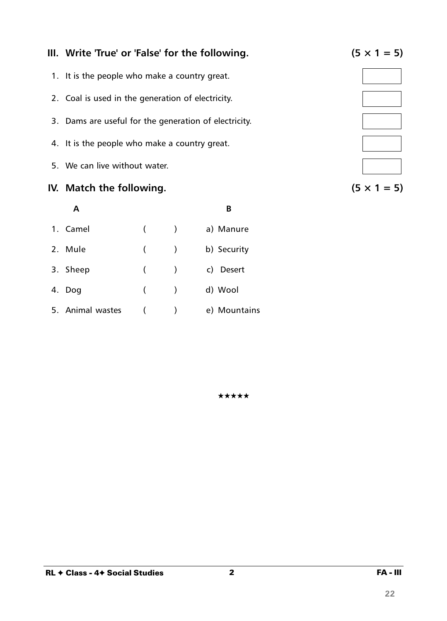



### **IV.** Match the following.  $(5 \times 1 = 5)$

| A                |   |                          | R                   |
|------------------|---|--------------------------|---------------------|
| 1. Camel         | ( | $\overline{\phantom{a}}$ | a) Manure           |
| 2. Mule          | ( |                          | b) Security         |
| 3. Sheep         | ( |                          | C)<br><b>Desert</b> |
| 4. Dog           | ( | $\rightarrow$            | d) Wool             |
| 5. Animal wastes |   |                          | e) Mountains        |

#### ★★★★★

## **III.** Write 'True' or 'False' for the following.  $(5 \times 1 = 5)$

- 1. It is the people who make a country great.
- 2. Coal is used in the generation of electricity.
- 3. Dams are useful for the generation of electricity.
- 4. It is the people who make a country great.
- 5. We can live without water.

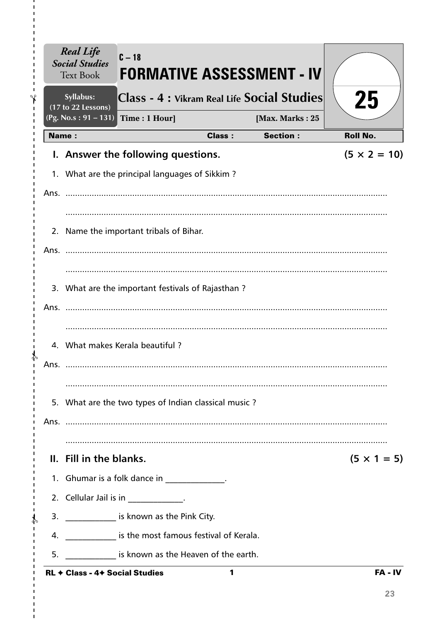|              | <b>Real Life</b><br><b>Social Studies</b><br><b>Text Book</b> | $C - 18$                                                 |               | <b>FORMATIVE ASSESSMENT - IV</b>            |                     |
|--------------|---------------------------------------------------------------|----------------------------------------------------------|---------------|---------------------------------------------|---------------------|
|              | Syllabus:<br>(17 to 22 Lessons)                               |                                                          |               | Class - 4 : Vikram Real Life Social Studies | 25                  |
| <b>Name:</b> | $(Pg. No.s: 91 - 131)$                                        | Time: 1 Hour]                                            | <b>Class:</b> | [Max. Marks: 25<br><b>Section:</b>          | <b>Roll No.</b>     |
|              |                                                               |                                                          |               |                                             | $(5 \times 2 = 10)$ |
|              |                                                               | I. Answer the following questions.                       |               |                                             |                     |
|              |                                                               | 1. What are the principal languages of Sikkim?           |               |                                             |                     |
|              |                                                               |                                                          |               |                                             |                     |
|              |                                                               |                                                          |               |                                             |                     |
|              |                                                               | 2. Name the important tribals of Bihar.                  |               |                                             |                     |
|              |                                                               |                                                          |               |                                             |                     |
|              |                                                               |                                                          |               |                                             |                     |
|              |                                                               | 3. What are the important festivals of Rajasthan?        |               |                                             |                     |
| Ans.         |                                                               |                                                          |               |                                             |                     |
|              |                                                               |                                                          |               |                                             |                     |
|              |                                                               | 4. What makes Kerala beautiful?                          |               |                                             |                     |
| Ans.         |                                                               |                                                          |               |                                             |                     |
|              |                                                               |                                                          |               |                                             |                     |
|              |                                                               | 5. What are the two types of Indian classical music?     |               |                                             |                     |
|              |                                                               |                                                          |               |                                             |                     |
|              |                                                               |                                                          |               |                                             |                     |
|              | II. Fill in the blanks.                                       |                                                          |               |                                             | $(5 \times 1 = 5)$  |
|              |                                                               | 1. Ghumar is a folk dance in _____________.              |               |                                             |                     |
|              |                                                               | 2. Cellular Jail is in ____________.                     |               |                                             |                     |
|              |                                                               | 3. _______________ is known as the Pink City.            |               |                                             |                     |
|              |                                                               | 4. ______________ is the most famous festival of Kerala. |               |                                             |                     |
| 5.           |                                                               | is known as the Heaven of the earth.                     |               |                                             |                     |
|              | <b>RL + Class - 4+ Social Studies</b>                         |                                                          | 1             |                                             | FA-IV               |

 $\mathbf{I}$ 

> > $\blacksquare$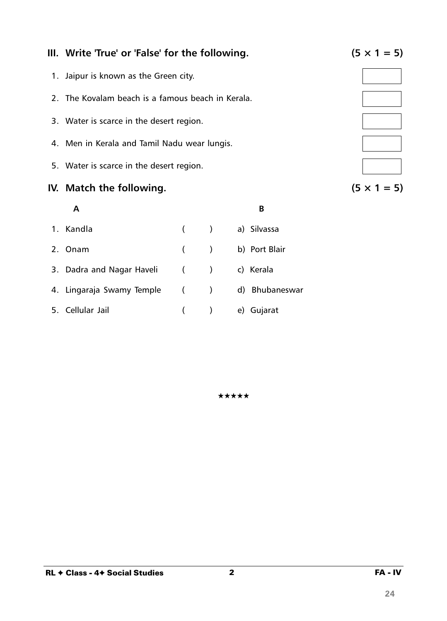2 FA - IV

## **III.** Write 'True' or 'False' for the following.  $(5 \times 1 = 5)$

- 1. Jaipur is known as the Green city.
- 2. The Kovalam beach is a famous beach in Kerala.
- 3. Water is scarce in the desert region.
- 4. Men in Kerala and Tamil Nadu wear lungis.
- 5. Water is scarce in the desert region.

### **IV.** Match the following.  $(5 \times 1 = 5)$

# **A B** 1. Kandla ( ) a) Silvassa 2. Onam ( ) b) Port Blair 3. Dadra and Nagar Haveli ( ) c) Kerala 4. Lingaraja Swamy Temple ( ) d) Bhubaneswar 5. Cellular Jail ( ) e) Gujarat

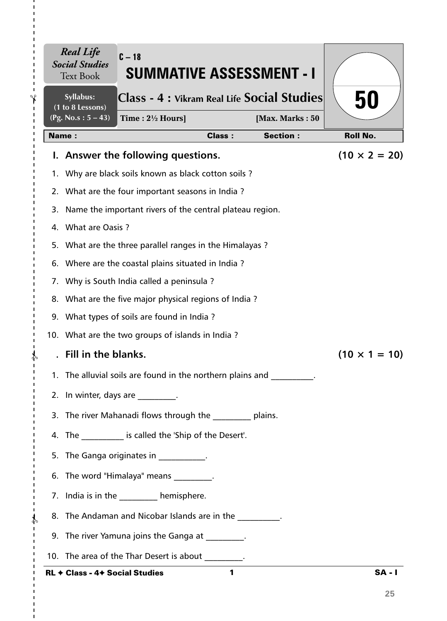|    | <b>Real Life</b><br><b>Social Studies</b><br><b>Text Book</b> | $C - 18$<br><b>SUMMATIVE ASSESSMENT - I</b>                |               |                 |                      |
|----|---------------------------------------------------------------|------------------------------------------------------------|---------------|-----------------|----------------------|
|    | Syllabus:<br>(1 to 8 Lessons)                                 | Class - 4 : Vikram Real Life Social Studies                |               |                 | 50                   |
|    | (Pg. No.s: $5 - 43$ )                                         | Time: $2\frac{1}{2}$ Hours]                                |               | [Max. Marks: 50 |                      |
|    | <b>Name:</b>                                                  |                                                            | <b>Class:</b> | <b>Section:</b> | <b>Roll No.</b>      |
|    |                                                               | I. Answer the following questions.                         |               |                 | $(10 \times 2 = 20)$ |
|    |                                                               | 1. Why are black soils known as black cotton soils?        |               |                 |                      |
|    |                                                               | 2. What are the four important seasons in India?           |               |                 |                      |
| 3. |                                                               | Name the important rivers of the central plateau region.   |               |                 |                      |
|    | 4. What are Oasis ?                                           |                                                            |               |                 |                      |
|    |                                                               | 5. What are the three parallel ranges in the Himalayas?    |               |                 |                      |
|    |                                                               | 6. Where are the coastal plains situated in India?         |               |                 |                      |
|    |                                                               | 7. Why is South India called a peninsula?                  |               |                 |                      |
|    |                                                               | 8. What are the five major physical regions of India?      |               |                 |                      |
|    |                                                               | 9. What types of soils are found in India?                 |               |                 |                      |
|    |                                                               | 10. What are the two groups of islands in India?           |               |                 |                      |
|    | Fill in the blanks.                                           |                                                            |               |                 | $(10 \times 1 = 10)$ |
|    |                                                               | 1. The alluvial soils are found in the northern plains and |               |                 |                      |
|    |                                                               | 2. In winter, days are fig.                                |               |                 |                      |
|    |                                                               | 3. The river Mahanadi flows through the _________ plains.  |               |                 |                      |
|    |                                                               | 4. The ___________ is called the 'Ship of the Desert'.     |               |                 |                      |
|    |                                                               | 5. The Ganga originates in ___________.                    |               |                 |                      |
|    |                                                               | 6. The word "Himalaya" means                               |               |                 |                      |
|    |                                                               | 7. India is in the _________ hemisphere.                   |               |                 |                      |
|    |                                                               | 8. The Andaman and Nicobar Islands are in the              |               |                 |                      |
|    |                                                               | 9. The river Yamuna joins the Ganga at 1997.               |               |                 |                      |
|    |                                                               | 10. The area of the Thar Desert is about ________.         |               |                 |                      |
|    | <b>RL + Class - 4+ Social Studies</b>                         |                                                            | 1             |                 | $SA - I$             |

Ĭ.

 $\mathbf{I}$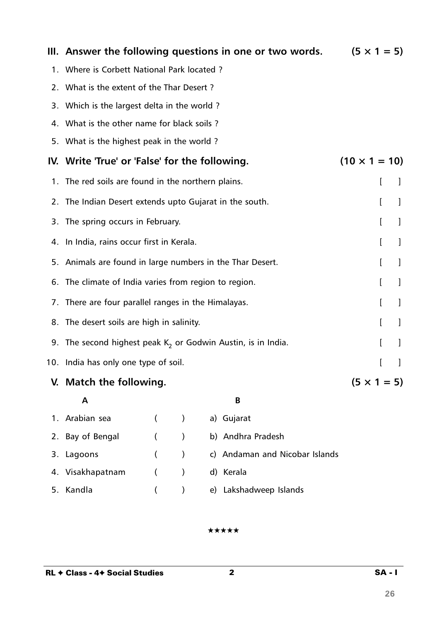|    |                                                                 |                      |               |    | III. Answer the following questions in one or two words. |                      | $(5 \times 1 = 5)$ |   |
|----|-----------------------------------------------------------------|----------------------|---------------|----|----------------------------------------------------------|----------------------|--------------------|---|
|    | 1. Where is Corbett National Park located ?                     |                      |               |    |                                                          |                      |                    |   |
|    | 2. What is the extent of the Thar Desert?                       |                      |               |    |                                                          |                      |                    |   |
|    | 3. Which is the largest delta in the world?                     |                      |               |    |                                                          |                      |                    |   |
|    | 4. What is the other name for black soils?                      |                      |               |    |                                                          |                      |                    |   |
|    | 5. What is the highest peak in the world?                       |                      |               |    |                                                          |                      |                    |   |
|    | IV. Write 'True' or 'False' for the following.                  |                      |               |    |                                                          | $(10 \times 1 = 10)$ |                    |   |
|    | 1. The red soils are found in the northern plains.              |                      |               |    |                                                          |                      | I                  | J |
|    | 2. The Indian Desert extends upto Gujarat in the south.         |                      |               |    |                                                          |                      | L                  | 1 |
|    | 3. The spring occurs in February.                               |                      |               |    |                                                          |                      | L                  |   |
|    | 4. In India, rains occur first in Kerala.                       |                      |               |    |                                                          |                      | L                  |   |
|    | 5. Animals are found in large numbers in the Thar Desert.       |                      |               |    |                                                          |                      | I                  | 1 |
|    | 6. The climate of India varies from region to region.           |                      |               |    |                                                          |                      | I                  | 1 |
|    | 7. There are four parallel ranges in the Himalayas.             |                      |               |    |                                                          |                      | L                  | 1 |
|    | 8. The desert soils are high in salinity.                       |                      |               |    |                                                          |                      | I                  | 1 |
|    | 9. The second highest peak $K_2$ or Godwin Austin, is in India. |                      |               |    |                                                          |                      | L                  |   |
|    | 10. India has only one type of soil.                            |                      |               |    |                                                          |                      | ſ                  | 1 |
|    | V. Match the following.                                         |                      |               |    |                                                          |                      | $(5 \times 1 = 5)$ |   |
|    | Α                                                               |                      |               |    | B                                                        |                      |                    |   |
| 1. | Arabian sea                                                     | $\left($             | $\mathcal{C}$ |    | a) Gujarat                                               |                      |                    |   |
| 2. | Bay of Bengal                                                   | $\left($             | $\mathcal{E}$ |    | b) Andhra Pradesh                                        |                      |                    |   |
| 3. | Lagoons                                                         | $\overline{ }$       | $\mathcal{E}$ |    | c) Andaman and Nicobar Islands                           |                      |                    |   |
| 4. | Visakhapatnam                                                   | $\overline{(\cdot)}$ | $\mathcal{E}$ |    | d) Kerala                                                |                      |                    |   |
| 5. | Kandla                                                          |                      |               | e) | Lakshadweep Islands                                      |                      |                    |   |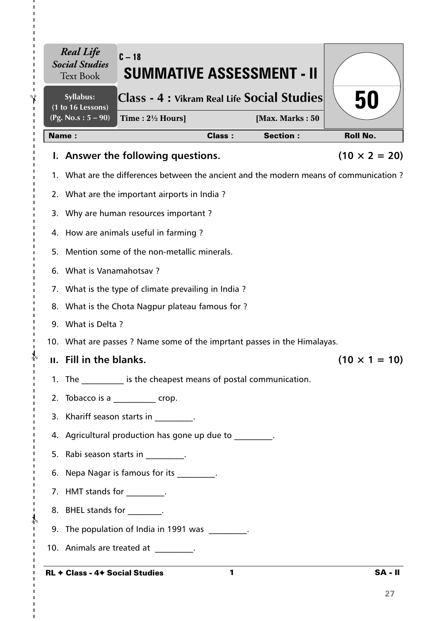|    | <b>Real Life</b><br><b>Social Studies</b><br><b>Text Book</b> | $C-18$<br><b>SUMMATIVE ASSESSMENT - II</b>                                             |               |                 |                      |
|----|---------------------------------------------------------------|----------------------------------------------------------------------------------------|---------------|-----------------|----------------------|
|    | Syllabus:<br>(1 to 16 Lessons)                                | Class - 4 : Vikram Real Life Social Studies                                            |               |                 | 50                   |
|    | $(Pg. No.s: 5 - 90)$                                          | Time: $2\frac{1}{2}$ Hours]                                                            |               | [Max. Marks: 50 |                      |
|    | Name:                                                         |                                                                                        | <b>Class:</b> | <b>Section:</b> | <b>Roll No.</b>      |
|    |                                                               | I. Answer the following questions.                                                     |               |                 | $(10 \times 2 = 20)$ |
|    |                                                               | 1. What are the differences between the ancient and the modern means of communication? |               |                 |                      |
|    |                                                               | 2. What are the important airports in India?                                           |               |                 |                      |
|    |                                                               | 3. Why are human resources important?                                                  |               |                 |                      |
|    |                                                               | 4. How are animals useful in farming?                                                  |               |                 |                      |
| 5. |                                                               | Mention some of the non-metallic minerals.                                             |               |                 |                      |
|    | 6. What is Vanamahotsav?                                      |                                                                                        |               |                 |                      |
|    |                                                               | 7. What is the type of climate prevailing in India?                                    |               |                 |                      |
|    |                                                               | 8. What is the Chota Nagpur plateau famous for ?                                       |               |                 |                      |
|    | 9. What is Delta?                                             |                                                                                        |               |                 |                      |
|    |                                                               | 10. What are passes ? Name some of the imprtant passes in the Himalayas.               |               |                 |                      |
|    | II. Fill in the blanks.                                       |                                                                                        |               |                 | $(10 \times 1 = 10)$ |
|    | 1. The                                                        | is the cheapest means of postal communication.                                         |               |                 |                      |
|    |                                                               | 2. Tobacco is a ____________ crop.                                                     |               |                 |                      |
|    |                                                               | 3. Khariff season starts in [11] .                                                     |               |                 |                      |
|    |                                                               | 4. Agricultural production has gone up due to 1996.                                    |               |                 |                      |
|    |                                                               | 5. Rabi season starts in Fig. 2.                                                       |               |                 |                      |
|    |                                                               | 6. Nepa Nagar is famous for its ________.                                              |               |                 |                      |
|    | 7. HMT stands for __________.                                 |                                                                                        |               |                 |                      |
|    | 8. BHEL stands for Fig.                                       |                                                                                        |               |                 |                      |
|    |                                                               | 9. The population of India in 1991 was ________.                                       |               |                 |                      |
|    |                                                               | 10. Animals are treated at 10.                                                         |               |                 |                      |
|    |                                                               | RL ← Class - 4← Social Studies                                                         | $\mathbf{1}$  |                 | <b>SA - II</b>       |

 $-\frac{1}{2}$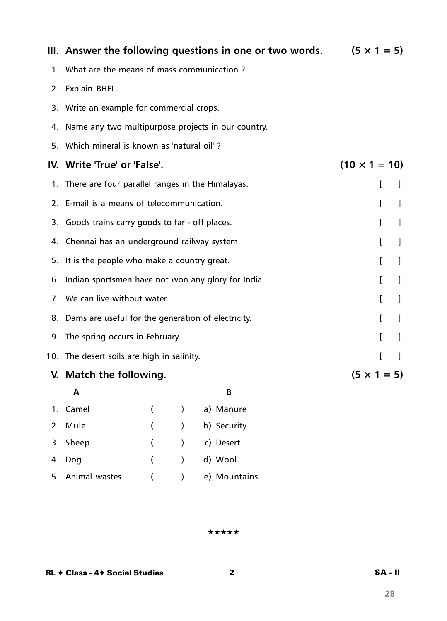|    | III. Answer the following questions in one or two words. |               |             | $(5 \times 1 = 5)$   |              |              |
|----|----------------------------------------------------------|---------------|-------------|----------------------|--------------|--------------|
|    | 1. What are the means of mass communication?             |               |             |                      |              |              |
| 2. | Explain BHEL.                                            |               |             |                      |              |              |
|    | 3. Write an example for commercial crops.                |               |             |                      |              |              |
|    | 4. Name any two multipurpose projects in our country.    |               |             |                      |              |              |
|    | 5. Which mineral is known as 'natural oil'?              |               |             |                      |              |              |
|    | IV. Write 'True' or 'False'.                             |               |             | $(10 \times 1 = 10)$ |              |              |
| 1. | There are four parallel ranges in the Himalayas.         |               |             |                      | L            | $\mathbf{I}$ |
| 2. | E-mail is a means of telecommunication.                  |               |             |                      | L            | 1            |
|    | 3. Goods trains carry goods to far - off places.         |               |             |                      | L            | 1            |
|    | 4. Chennai has an underground railway system.            |               |             |                      | L            | 1            |
|    | 5. It is the people who make a country great.            |               |             |                      | I            | 1            |
|    | 6. Indian sportsmen have not won any glory for India.    |               |             |                      | $\mathbf{r}$ | 1            |
|    | 7. We can live without water.                            |               |             |                      | T            | $\perp$      |
|    | 8. Dams are useful for the generation of electricity.    |               |             |                      | L            | $\perp$      |
|    | 9. The spring occurs in February.                        |               |             |                      | ſ            | 1            |
|    | 10. The desert soils are high in salinity.               |               |             |                      | ſ            | $\mathbf{I}$ |
|    | V. Match the following.                                  |               |             | $(5 \times 1 = 5)$   |              |              |
|    | A                                                        |               | В           |                      |              |              |
|    | 1. Camel<br>€                                            | $\lambda$     | a) Manure   |                      |              |              |
|    | 2. Mule<br>$\overline{(}$                                | $\mathcal{E}$ | b) Security |                      |              |              |

#### ★★★★★

3. Sheep ( ) c) Desert

4. Dog ( ) d) Wool

5. Animal wastes ( ) e) Mountains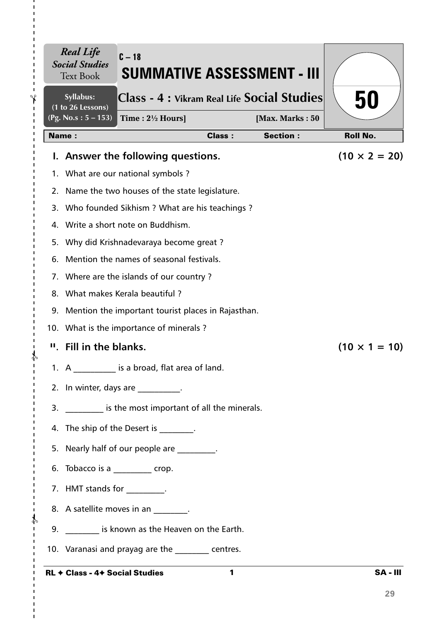|    | Syllabus:<br>(1 to 26 Lessons) | Class - 4 : Vikram Real Life Social Studies                                          |               |                 | 50                   |
|----|--------------------------------|--------------------------------------------------------------------------------------|---------------|-----------------|----------------------|
|    | $(Pg. No.s: 5 - 153)$          | Time: $2\frac{1}{2}$ Hours]                                                          |               | [Max. Marks: 50 |                      |
|    | <b>Name:</b>                   |                                                                                      | <b>Class:</b> | <b>Section:</b> | <b>Roll No.</b>      |
|    |                                | I. Answer the following questions.                                                   |               |                 | $(10 \times 2 = 20)$ |
|    |                                | 1. What are our national symbols?                                                    |               |                 |                      |
|    |                                | 2. Name the two houses of the state legislature.                                     |               |                 |                      |
|    |                                | 3. Who founded Sikhism ? What are his teachings ?                                    |               |                 |                      |
|    |                                | 4. Write a short note on Buddhism.                                                   |               |                 |                      |
|    |                                | 5. Why did Krishnadevaraya become great?<br>Mention the names of seasonal festivals. |               |                 |                      |
| 6. |                                | 7. Where are the islands of our country?                                             |               |                 |                      |
|    |                                | 8. What makes Kerala beautiful?                                                      |               |                 |                      |
|    |                                | 9. Mention the important tourist places in Rajasthan.                                |               |                 |                      |
|    |                                | 10. What is the importance of minerals?                                              |               |                 |                      |
|    | " Fill in the blanks.          |                                                                                      |               |                 | $(10 \times 1 = 10)$ |
|    |                                | 1. A is a broad, flat area of land.                                                  |               |                 |                      |
|    |                                | 2. In winter, days are _________.                                                    |               |                 |                      |
|    |                                | 3. Solution is the most important of all the minerals.                               |               |                 |                      |
|    |                                | 4. The ship of the Desert is [11] .                                                  |               |                 |                      |
|    |                                | 5. Nearly half of our people are ________.                                           |               |                 |                      |
|    |                                | 6. Tobacco is a _________ crop.                                                      |               |                 |                      |
|    | 7. HMT stands for _________.   |                                                                                      |               |                 |                      |
|    |                                | 8. A satellite moves in an 1997.                                                     |               |                 |                      |
|    |                                | 9. Similary 19. Suppose 1.5 known as the Heaven on the Earth.                        |               |                 |                      |
|    |                                | 10. Varanasi and prayag are the same centres.                                        |               |                 |                      |

**29**

 $\mathbf{I}$  $\blacksquare$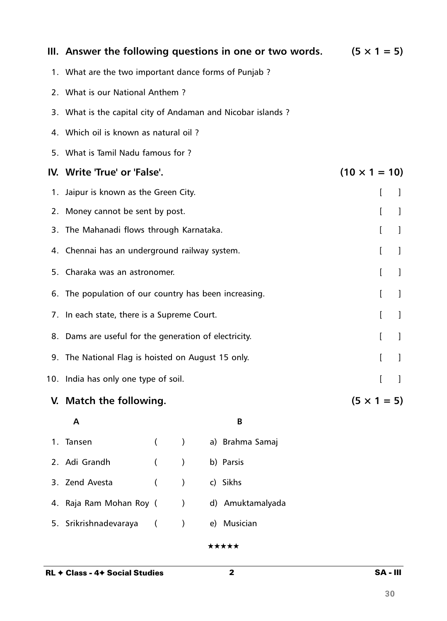|    | III. Answer the following questions in one or two words.    | $(5 \times 1 = 5)$   |               |   |                  |   |   |   |
|----|-------------------------------------------------------------|----------------------|---------------|---|------------------|---|---|---|
|    | 1. What are the two important dance forms of Punjab?        |                      |               |   |                  |   |   |   |
|    | 2. What is our National Anthem?                             |                      |               |   |                  |   |   |   |
|    | 3. What is the capital city of Andaman and Nicobar islands? |                      |               |   |                  |   |   |   |
|    | 4. Which oil is known as natural oil?                       |                      |               |   |                  |   |   |   |
|    | 5. What is Tamil Nadu famous for ?                          |                      |               |   |                  |   |   |   |
|    | IV. Write 'True' or 'False'.                                | $(10 \times 1 = 10)$ |               |   |                  |   |   |   |
| 1. | Jaipur is known as the Green City.                          | L                    |               | J |                  |   |   |   |
|    | 2. Money cannot be sent by post.                            |                      |               |   |                  |   | I | 1 |
| 3. | The Mahanadi flows through Karnataka.                       |                      |               |   |                  |   | I | 1 |
|    | 4. Chennai has an underground railway system.               |                      |               |   |                  |   | L | J |
|    | 5. Charaka was an astronomer.                               |                      |               |   |                  |   | I | 1 |
|    | 6. The population of our country has been increasing.       |                      |               |   |                  |   | I | 1 |
|    | 7. In each state, there is a Supreme Court.                 |                      |               |   |                  |   | I | J |
|    | 8. Dams are useful for the generation of electricity.       |                      |               |   |                  |   | I | 1 |
|    | 9. The National Flag is hoisted on August 15 only.          |                      |               |   |                  | I |   |   |
|    | 10. India has only one type of soil.                        |                      |               |   |                  |   |   |   |
|    | V. Match the following.                                     | $(5 \times 1 = 5)$   |               |   |                  |   |   |   |
|    | A                                                           |                      |               |   | B                |   |   |   |
| 1. | Tansen                                                      | $\left($             | $\mathcal{C}$ |   | a) Brahma Samaj  |   |   |   |
| 2. | Adi Grandh                                                  | $\left($             | $\mathcal{E}$ |   | b) Parsis        |   |   |   |
| 3. | Zend Avesta                                                 | $\overline{(}$       | $\mathcal{C}$ |   | c) Sikhs         |   |   |   |
|    | 4. Raja Ram Mohan Roy (                                     |                      | $\mathcal{E}$ |   | d) Amuktamalyada |   |   |   |
|    |                                                             |                      |               |   |                  |   |   |   |

5. Srikrishnadevaraya ( ) e) Musician